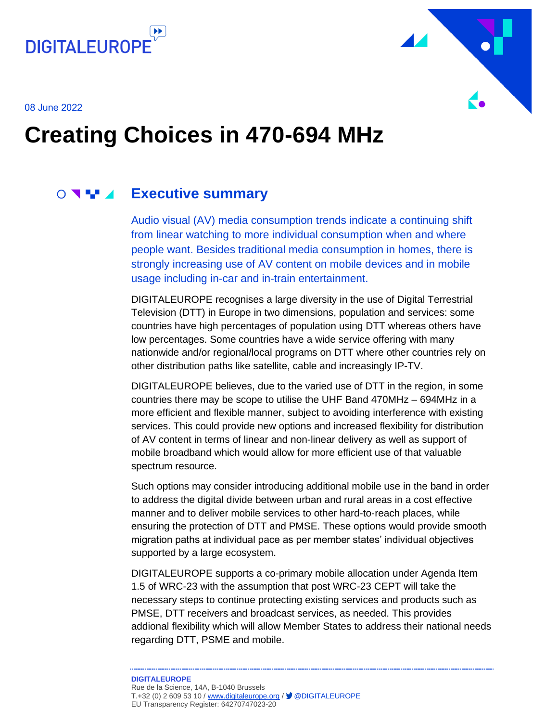



08 June 2022

## **Creating Choices in 470-694 MHz**

## **Executive summary**

<span id="page-0-0"></span>Audio visual (AV) media consumption trends indicate a continuing shift from linear watching to more individual consumption when and where people want. Besides traditional media consumption in homes, there is strongly increasing use of AV content on mobile devices and in mobile usage including in-car and in-train entertainment.

DIGITALEUROPE recognises a large diversity in the use of Digital Terrestrial Television (DTT) in Europe in two dimensions, population and services: some countries have high percentages of population using DTT whereas others have low percentages. Some countries have a wide service offering with many nationwide and/or regional/local programs on DTT where other countries rely on other distribution paths like satellite, cable and increasingly IP-TV.

DIGITALEUROPE believes, due to the varied use of DTT in the region, in some countries there may be scope to utilise the UHF Band 470MHz – 694MHz in a more efficient and flexible manner, subject to avoiding interference with existing services. This could provide new options and increased flexibility for distribution of AV content in terms of linear and non-linear delivery as well as support of mobile broadband which would allow for more efficient use of that valuable spectrum resource.

Such options may consider introducing additional mobile use in the band in order to address the digital divide between urban and rural areas in a cost effective manner and to deliver mobile services to other hard-to-reach places, while ensuring the protection of DTT and PMSE. These options would provide smooth migration paths at individual pace as per member states' individual objectives supported by a large ecosystem.

DIGITALEUROPE supports a co-primary mobile allocation under Agenda Item 1.5 of WRC-23 with the assumption that post WRC-23 CEPT will take the necessary steps to continue protecting existing services and products such as PMSE, DTT receivers and broadcast services, as needed. This provides addional flexibility which will allow Member States to address their national needs regarding DTT, PSME and mobile.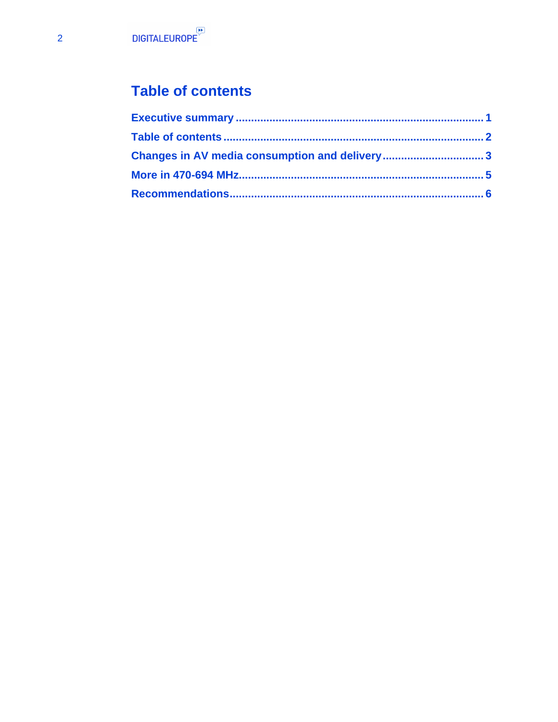## <span id="page-1-0"></span>**Table of contents**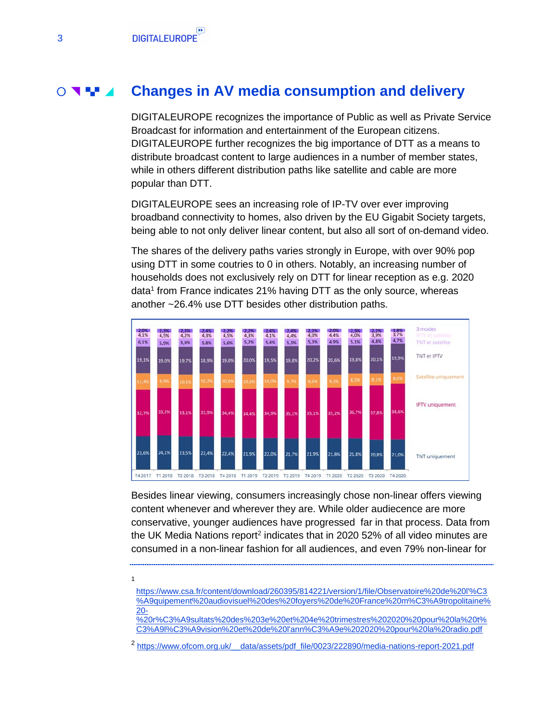1

#### **Changes in AV media consumption and delivery**  $\bigcirc$   $\blacksquare$

<span id="page-2-0"></span>DIGITALEUROPE recognizes the importance of Public as well as Private Service Broadcast for information and entertainment of the European citizens. DIGITALEUROPE further recognizes the big importance of DTT as a means to distribute broadcast content to large audiences in a number of member states, while in others different distribution paths like satellite and cable are more popular than DTT.

DIGITALEUROPE sees an increasing role of IP-TV over ever improving broadband connectivity to homes, also driven by the EU Gigabit Society targets, being able to not only deliver linear content, but also all sort of on-demand video.

The shares of the delivery paths varies strongly in Europe, with over 90% pop using DTT in some coutries to 0 in others. Notably, an increasing number of households does not exclusively rely on DTT for linear reception as e.g. 2020 data<sup>1</sup> from France indicates 21% having DTT as the only source, whereas another ~26.4% use DTT besides other distribution paths.



Besides linear viewing, consumers increasingly chose non-linear offers viewing content whenever and wherever they are. While older audiecence are more conservative, younger audiences have progressed far in that process. Data from the UK Media Nations report<sup>2</sup> indicates that in 2020 52% of all video minutes are consumed in a non-linear fashion for all audiences, and even 79% non-linear for

[https://www.csa.fr/content/download/260395/814221/version/1/file/Observatoire%20de%20l'%C3](https://www.csa.fr/content/download/260395/814221/version/1/file/Observatoire%20de%20l) [%A9quipement%20audiovisuel%20des%20foyers%20de%20France%20m%C3%A9tropolitaine%](https://www.csa.fr/content/download/260395/814221/version/1/file/Observatoire%20de%20l) [20-](https://www.csa.fr/content/download/260395/814221/version/1/file/Observatoire%20de%20l)

[%20r%C3%A9sultats%20des%203e%20et%204e%20trimestres%202020%20pour%20la%20t%](https://www.csa.fr/content/download/260395/814221/version/1/file/Observatoire%20de%20l) [C3%A9l%C3%A9vision%20et%20de%20l'ann%C3%A9e%202020%20pour%20la%20radio.pdf](https://www.csa.fr/content/download/260395/814221/version/1/file/Observatoire%20de%20l)

<sup>2</sup> [https://www.ofcom.org.uk/\\_\\_data/assets/pdf\\_file/0023/222890/media-nations-report-2021.pdf](https://www.ofcom.org.uk/__data/assets/pdf_file/0023/222890/media-nations-report-2021.pdf)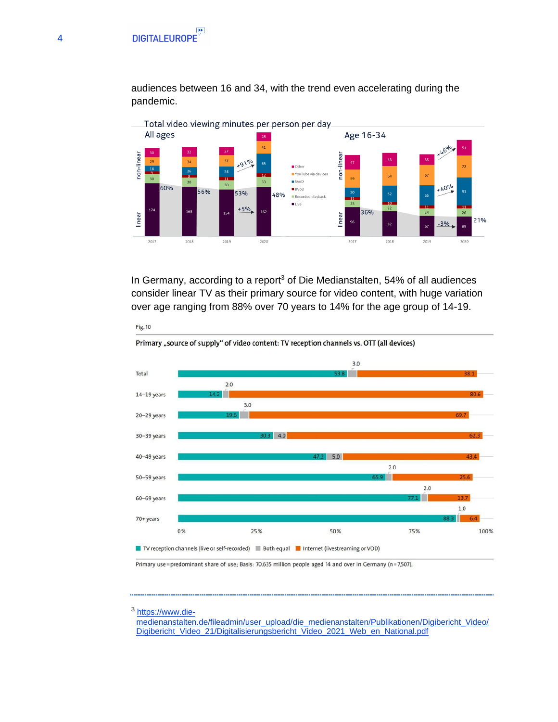audiences between 16 and 34, with the trend even accelerating during the pandemic.



In Germany, according to a report<sup>3</sup> of Die Medianstalten, 54% of all audiences consider linear TV as their primary source for video content, with huge variation over age ranging from 88% over 70 years to 14% for the age group of 14-19.



Primary "source of supply" of video content: TV reception channels vs. OTT (all devices)

Primary use=predominant share of use; Basis: 70.635 million people aged 14 and over in Germany (n=7,507).

<sup>3</sup> [https://www.die-](https://www.die-medienanstalten.de/fileadmin/user_upload/die_medienanstalten/Publikationen/Digibericht_Video/Digibericht_Video_21/Digitalisierungsbericht_Video_2021_Web_en_National.pdf)

Fig. 10

[medienanstalten.de/fileadmin/user\\_upload/die\\_medienanstalten/Publikationen/Digibericht\\_Video/](https://www.die-medienanstalten.de/fileadmin/user_upload/die_medienanstalten/Publikationen/Digibericht_Video/Digibericht_Video_21/Digitalisierungsbericht_Video_2021_Web_en_National.pdf) [Digibericht\\_Video\\_21/Digitalisierungsbericht\\_Video\\_2021\\_Web\\_en\\_National.pdf](https://www.die-medienanstalten.de/fileadmin/user_upload/die_medienanstalten/Publikationen/Digibericht_Video/Digibericht_Video_21/Digitalisierungsbericht_Video_2021_Web_en_National.pdf)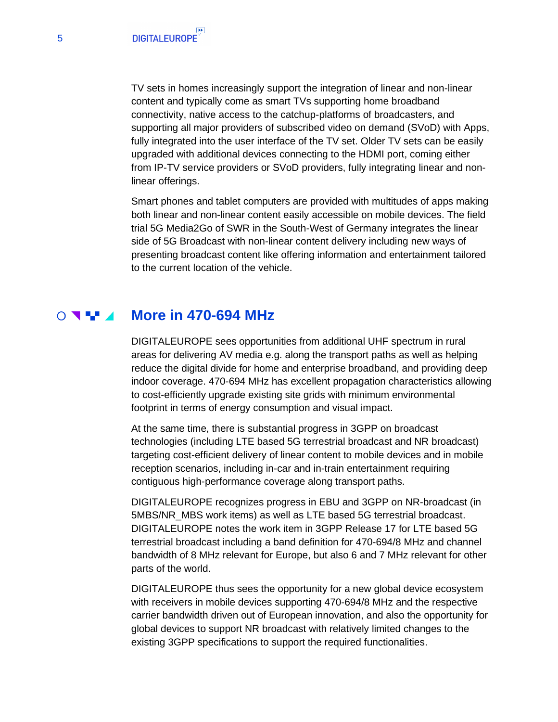TV sets in homes increasingly support the integration of linear and non-linear content and typically come as smart TVs supporting home broadband connectivity, native access to the catchup-platforms of broadcasters, and supporting all major providers of subscribed video on demand (SVoD) with Apps, fully integrated into the user interface of the TV set. Older TV sets can be easily upgraded with additional devices connecting to the HDMI port, coming either from IP-TV service providers or SVoD providers, fully integrating linear and nonlinear offerings.

Smart phones and tablet computers are provided with multitudes of apps making both linear and non-linear content easily accessible on mobile devices. The field trial 5G Media2Go of SWR in the South-West of Germany integrates the linear side of 5G Broadcast with non-linear content delivery including new ways of presenting broadcast content like offering information and entertainment tailored to the current location of the vehicle.

#### $\overline{O}$  with  $\overline{O}$ **More in 470-694 MHz**

<span id="page-4-0"></span>DIGITALEUROPE sees opportunities from additional UHF spectrum in rural areas for delivering AV media e.g. along the transport paths as well as helping reduce the digital divide for home and enterprise broadband, and providing deep indoor coverage. 470-694 MHz has excellent propagation characteristics allowing to cost-efficiently upgrade existing site grids with minimum environmental footprint in terms of energy consumption and visual impact.

At the same time, there is substantial progress in 3GPP on broadcast technologies (including LTE based 5G terrestrial broadcast and NR broadcast) targeting cost-efficient delivery of linear content to mobile devices and in mobile reception scenarios, including in-car and in-train entertainment requiring contiguous high-performance coverage along transport paths.

DIGITALEUROPE recognizes progress in EBU and 3GPP on NR-broadcast (in 5MBS/NR\_MBS work items) as well as LTE based 5G terrestrial broadcast. DIGITALEUROPE notes the work item in 3GPP Release 17 for LTE based 5G terrestrial broadcast including a band definition for 470-694/8 MHz and channel bandwidth of 8 MHz relevant for Europe, but also 6 and 7 MHz relevant for other parts of the world.

DIGITALEUROPE thus sees the opportunity for a new global device ecosystem with receivers in mobile devices supporting 470-694/8 MHz and the respective carrier bandwidth driven out of European innovation, and also the opportunity for global devices to support NR broadcast with relatively limited changes to the existing 3GPP specifications to support the required functionalities.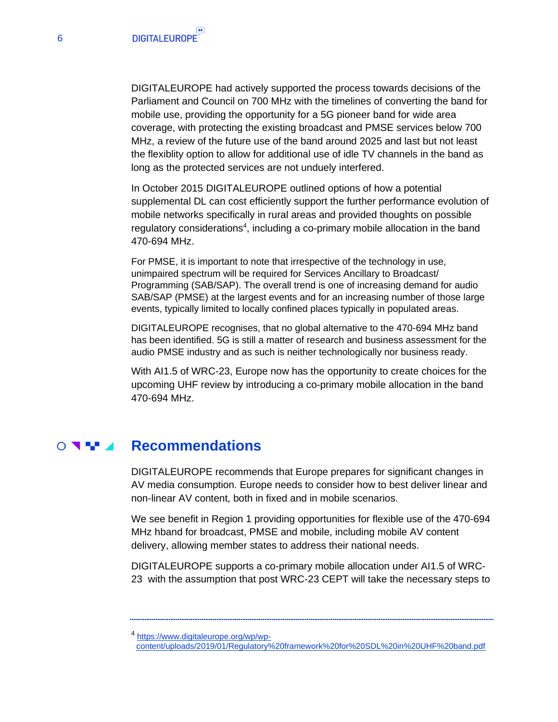DIGITALEUROPE had actively supported the process towards decisions of the Parliament and Council on 700 MHz with the timelines of converting the band for mobile use, providing the opportunity for a 5G pioneer band for wide area coverage, with protecting the existing broadcast and PMSE services below 700 MHz, a review of the future use of the band around 2025 and last but not least the flexiblity option to allow for additional use of idle TV channels in the band as long as the protected services are not unduely interfered.

In October 2015 DIGITALEUROPE outlined options of how a potential supplemental DL can cost efficiently support the further performance evolution of mobile networks specifically in rural areas and provided thoughts on possible regulatory considerations<sup>4</sup>, including a co-primary mobile allocation in the band 470-694 MHz.

For PMSE, it is important to note that irrespective of the technology in use, unimpaired spectrum will be required for Services Ancillary to Broadcast/ Programming (SAB/SAP). The overall trend is one of increasing demand for audio SAB/SAP (PMSE) at the largest events and for an increasing number of those large events, typically limited to locally confined places typically in populated areas.

DIGITALEUROPE recognises, that no global alternative to the 470-694 MHz band has been identified. 5G is still a matter of research and business assessment for the audio PMSE industry and as such is neither technologically nor business ready.

With AI1.5 of WRC-23, Europe now has the opportunity to create choices for the upcoming UHF review by introducing a co-primary mobile allocation in the band 470-694 MHz.

#### $\bigcirc$  and  $\blacksquare$ **Recommendations**

<span id="page-5-0"></span>DIGITALEUROPE recommends that Europe prepares for significant changes in AV media consumption. Europe needs to consider how to best deliver linear and non-linear AV content, both in fixed and in mobile scenarios.

We see benefit in Region 1 providing opportunities for flexible use of the 470-694 MHz hband for broadcast, PMSE and mobile, including mobile AV content delivery, allowing member states to address their national needs.

DIGITALEUROPE supports a co-primary mobile allocation under AI1.5 of WRC-23 with the assumption that post WRC-23 CEPT will take the necessary steps to

4 [https://www.digitaleurope.org/wp/wp](https://www.digitaleurope.org/wp/wp-content/uploads/2019/01/Regulatory%20framework%20for%20SDL%20in%20UHF%20band.pdf)[content/uploads/2019/01/Regulatory%20framework%20for%20SDL%20in%20UHF%20band.pdf](https://www.digitaleurope.org/wp/wp-content/uploads/2019/01/Regulatory%20framework%20for%20SDL%20in%20UHF%20band.pdf)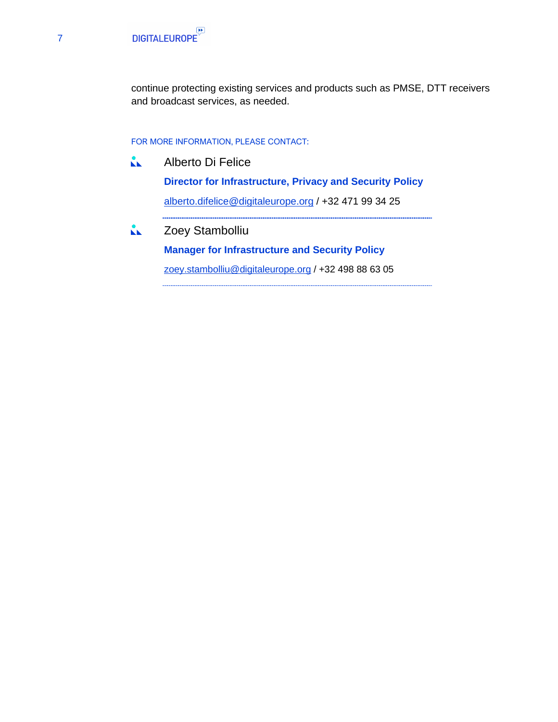

continue protecting existing services and products such as PMSE, DTT receivers and broadcast services, as needed.

#### FOR MORE INFORMATION, PLEASE CONTACT:

 $\mathbf{A}$ Alberto Di Felice

> **Director for Infrastructure, Privacy and Security Policy** [alberto.difelice@digitaleurope.org](mailto:alberto.difelice@digitaleurope.org) / +32 471 99 34 25

ŘЬ. Zoey Stambolliu

**Manager for Infrastructure and Security Policy**

[zoey.stambolliu@digitaleurope.org](mailto:zoey.stambolliu@digitaleurope.org) / +32 498 88 63 05